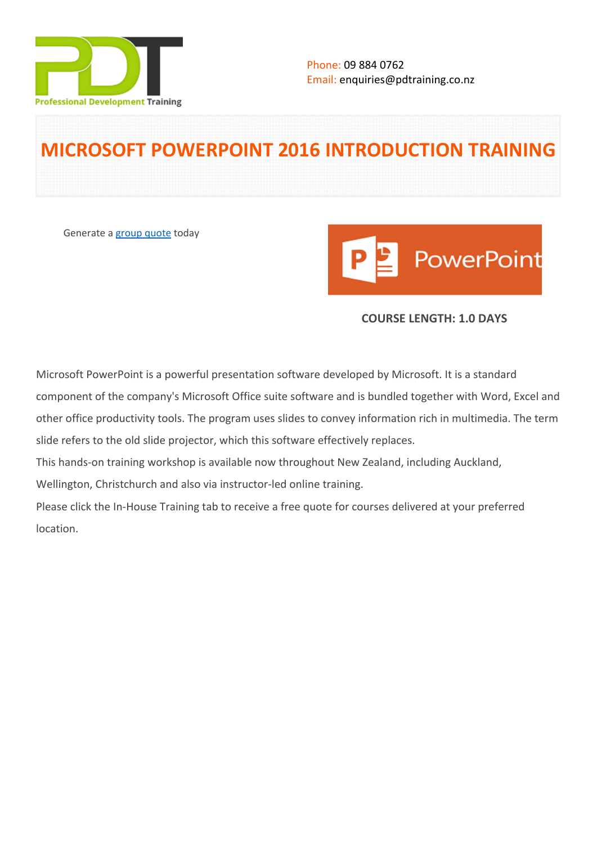

# **MICROSOFT POWERPOINT 2016 INTRODUCTION TRAINING**

Generate a [group quote](https://pdtraining.co.nz/inhouse-training-quote?cse=MSP16IN) today



# **COURSE LENGTH: 1.0 DAYS**

Microsoft PowerPoint is a powerful presentation software developed by Microsoft. It is a standard component of the company's Microsoft Office suite software and is bundled together with Word, Excel and other office productivity tools. The program uses slides to convey information rich in multimedia. The term slide refers to the old slide projector, which this software effectively replaces.

This hands-on training workshop is available now throughout New Zealand, including Auckland,

Wellington, Christchurch and also via instructor-led online training.

Please click the In-House Training tab to receive a free quote for courses delivered at your preferred location.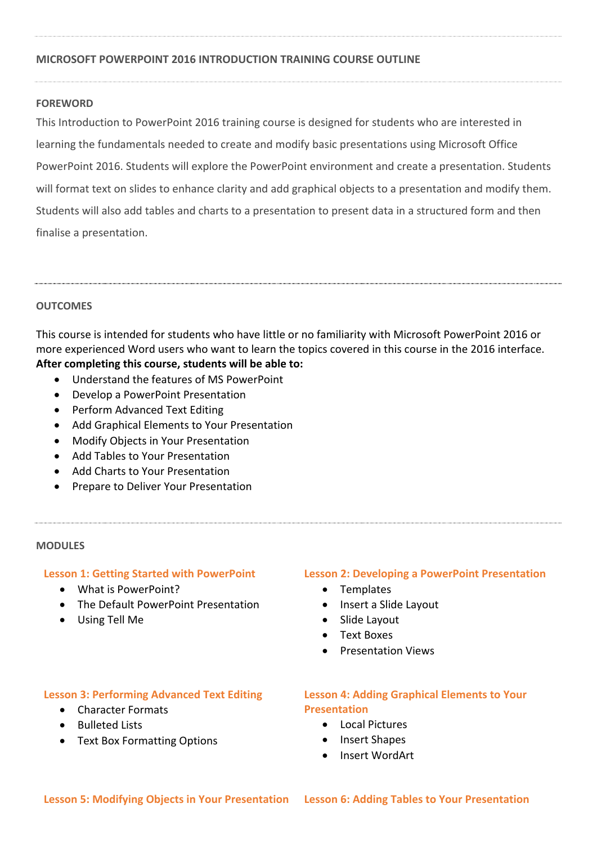## **MICROSOFT POWERPOINT 2016 INTRODUCTION TRAINING COURSE OUTLINE**

### **FOREWORD**

This Introduction to PowerPoint 2016 training course is designed for students who are interested in learning the fundamentals needed to create and modify basic presentations using Microsoft Office PowerPoint 2016. Students will explore the PowerPoint environment and create a presentation. Students will format text on slides to enhance clarity and add graphical objects to a presentation and modify them. Students will also add tables and charts to a presentation to present data in a structured form and then finalise a presentation.

## **OUTCOMES**

This course is intended for students who have little or no familiarity with Microsoft PowerPoint 2016 or more experienced Word users who want to learn the topics covered in this course in the 2016 interface. **After completing this course, students will be able to:**

- Understand the features of MS PowerPoint
- Develop a PowerPoint Presentation
- Perform Advanced Text Editing
- Add Graphical Elements to Your Presentation
- Modify Objects in Your Presentation
- Add Tables to Your Presentation
- Add Charts to Your Presentation
- Prepare to Deliver Your Presentation

#### **MODULES**

#### **Lesson 1: Getting Started with PowerPoint**

- What is PowerPoint?
- The Default PowerPoint Presentation
- Using Tell Me

#### **Lesson 2: Developing a PowerPoint Presentation**

- Templates
- Insert a Slide Layout
- Slide Layout
- Text Boxes
- Presentation Views

#### **Lesson 3: Performing Advanced Text Editing**

- Character Formats
- Bulleted Lists
- Text Box Formatting Options

## **Lesson 4: Adding Graphical Elements to Your Presentation**

- Local Pictures
- Insert Shapes
- Insert WordArt